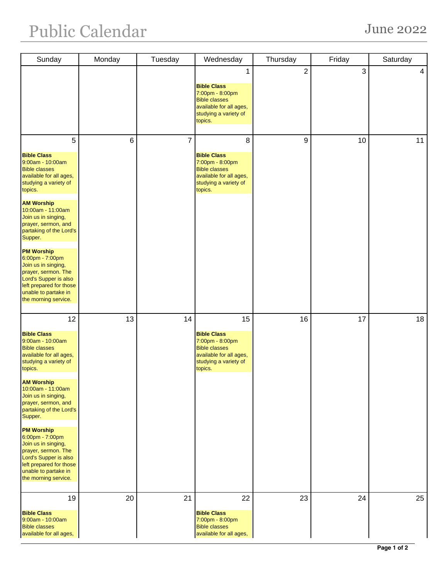| Sunday                                                                                                                                                                                                                                                                                                                                                                                                                                                      | Monday | Tuesday        | Wednesday                                                                                                                          | Thursday       | Friday | Saturday       |
|-------------------------------------------------------------------------------------------------------------------------------------------------------------------------------------------------------------------------------------------------------------------------------------------------------------------------------------------------------------------------------------------------------------------------------------------------------------|--------|----------------|------------------------------------------------------------------------------------------------------------------------------------|----------------|--------|----------------|
|                                                                                                                                                                                                                                                                                                                                                                                                                                                             |        |                | <b>Bible Class</b><br>7:00pm - 8:00pm<br><b>Bible classes</b><br>available for all ages,<br>studying a variety of<br>topics.       | $\overline{2}$ | 3      | $\overline{4}$ |
| 5<br><b>Bible Class</b><br>9:00am - 10:00am<br><b>Bible classes</b><br>available for all ages,<br>studying a variety of<br>topics.<br><b>AM Worship</b><br>10:00am - 11:00am<br>Join us in singing,<br>prayer, sermon, and<br>partaking of the Lord's<br>Supper.<br><b>PM Worship</b><br>6:00pm - 7:00pm<br>Join us in singing,<br>prayer, sermon. The<br>Lord's Supper is also<br>left prepared for those<br>unable to partake in<br>the morning service.  | 6      | $\overline{7}$ | 8<br><b>Bible Class</b><br>7:00pm - 8:00pm<br><b>Bible classes</b><br>available for all ages,<br>studying a variety of<br>topics.  | 9              | 10     | 11             |
| 12<br><b>Bible Class</b><br>9:00am - 10:00am<br><b>Bible classes</b><br>available for all ages,<br>studying a variety of<br>topics.<br><b>AM Worship</b><br>10:00am - 11:00am<br>Join us in singing,<br>prayer, sermon, and<br>partaking of the Lord's<br>Supper.<br><b>PM Worship</b><br>6:00pm - 7:00pm<br>Join us in singing,<br>prayer, sermon. The<br>Lord's Supper is also<br>left prepared for those<br>unable to partake in<br>the morning service. | 13     | 14             | 15<br><b>Bible Class</b><br>7:00pm - 8:00pm<br><b>Bible classes</b><br>available for all ages,<br>studying a variety of<br>topics. | 16             | 17     | 18             |
| 19<br><b>Bible Class</b><br>9:00am - 10:00am<br><b>Bible classes</b><br>available for all ages,                                                                                                                                                                                                                                                                                                                                                             | 20     | 21             | 22<br><b>Bible Class</b><br>7:00pm - 8:00pm<br><b>Bible classes</b><br>available for all ages,                                     | 23             | 24     | 25             |